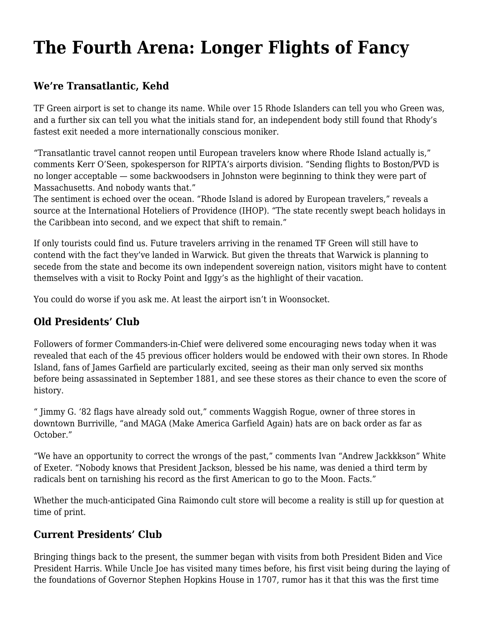## **[The Fourth Arena: Longer Flights of Fancy](https://motifri.com/the-fourth-arena/)**

## **We're Transatlantic, Kehd**

TF Green airport is set to change its name. While over 15 Rhode Islanders can tell you who Green was, and a further six can tell you what the initials stand for, an independent body still found that Rhody's fastest exit needed a more internationally conscious moniker.

"Transatlantic travel cannot reopen until European travelers know where Rhode Island actually is," comments Kerr O'Seen, spokesperson for RIPTA's airports division. "Sending flights to Boston/PVD is no longer acceptable — some backwoodsers in Johnston were beginning to think they were part of Massachusetts. And nobody wants that."

The sentiment is echoed over the ocean. "Rhode Island is adored by European travelers," reveals a source at the International Hoteliers of Providence (IHOP). "The state recently swept beach holidays in the Caribbean into second, and we expect that shift to remain."

If only tourists could find us. Future travelers arriving in the renamed TF Green will still have to contend with the fact they've landed in Warwick. But given the threats that Warwick is planning to secede from the state and become its own independent sovereign nation, visitors might have to content themselves with a visit to Rocky Point and Iggy's as the highlight of their vacation.

You could do worse if you ask me. At least the airport isn't in Woonsocket.

## **Old Presidents' Club**

Followers of former Commanders-in-Chief were delivered some encouraging news today when it was revealed that each of the 45 previous officer holders would be endowed with their own stores. In Rhode Island, fans of James Garfield are particularly excited, seeing as their man only served six months before being assassinated in September 1881, and see these stores as their chance to even the score of history.

" Jimmy G. '82 flags have already sold out," comments Waggish Rogue, owner of three stores in downtown Burriville, "and MAGA (Make America Garfield Again) hats are on back order as far as October."

"We have an opportunity to correct the wrongs of the past," comments Ivan "Andrew Jackkkson" White of Exeter. "Nobody knows that President Jackson, blessed be his name, was denied a third term by radicals bent on tarnishing his record as the first American to go to the Moon. Facts."

Whether the much-anticipated Gina Raimondo cult store will become a reality is still up for question at time of print.

## **Current Presidents' Club**

Bringing things back to the present, the summer began with visits from both President Biden and Vice President Harris. While Uncle Joe has visited many times before, his first visit being during the laying of the foundations of Governor Stephen Hopkins House in 1707, rumor has it that this was the first time